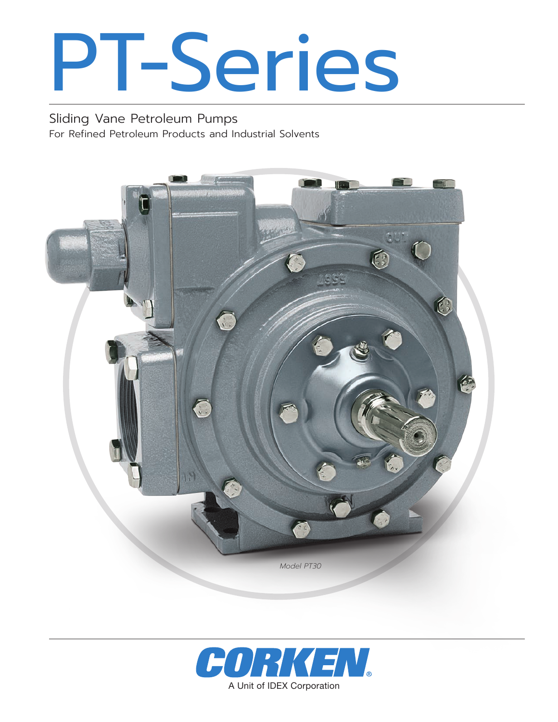# PT-Series

Sliding Vane Petroleum Pumps For Refined Petroleum Products and Industrial Solvents



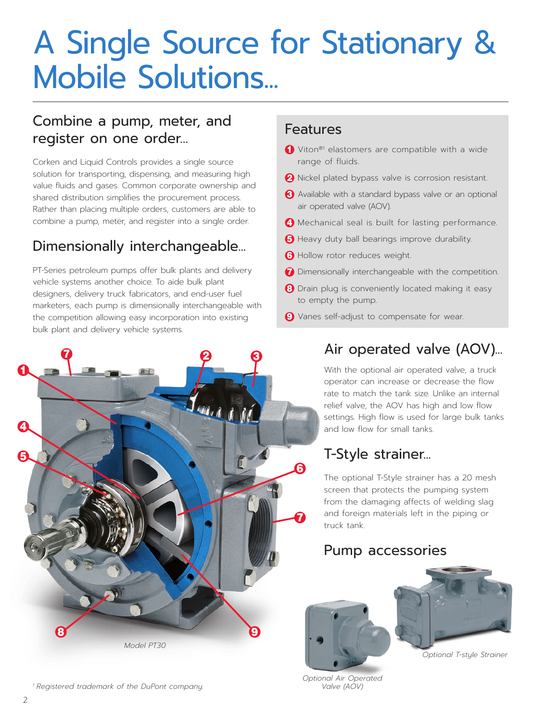## A Single Source for Stationary & Mobile Solutions...

#### Combine a pump, meter, and register on one order…

Corken and Liquid Controls provides a single source solution for transporting, dispensing, and measuring high value fluids and gases. Common corporate ownership and shared distribution simplifies the procurement process. Rather than placing multiple orders, customers are able to combine a pump, meter, and register into a single order.

#### Dimensionally interchangeable...

PT-Series petroleum pumps offer bulk plants and delivery vehicle systems another choice. To aide bulk plant designers, delivery truck fabricators, and end-user fuel marketers, each pump is dimensionally interchangeable with the competition allowing easy incorporation into existing bulk plant and delivery vehicle systems.

#### Features

- **↑** Viton<sup>®1</sup> elastomers are compatible with a wide range of fluids.
- 2 Nickel plated bypass valve is corrosion resistant.
- 3 Available with a standard bypass valve or an optional air operated valve (AOV).
- 4 Mechanical seal is built for lasting performance.
- **6** Heavy duty ball bearings improve durability.
- **6** Hollow rotor reduces weight.
- **7** Dimensionally interchangeable with the competition.
- 8 Drain plug is conveniently located making it easy to empty the pump.
- **9** Vanes self-adjust to compensate for wear.



#### *<sup>1</sup> Registered trademark of the DuPont company.*

#### Air operated valve (AOV)...

With the optional air operated valve, a truck operator can increase or decrease the flow rate to match the tank size. Unlike an internal relief valve, the AOV has high and low flow settings. High flow is used for large bulk tanks and low flow for small tanks.

#### T-Style strainer...

The optional T-Style strainer has a 20 mesh screen that protects the pumping system from the damaging affects of welding slag and foreign materials left in the piping or truck tank.

#### Pump accessories





*Optional T-style Strainer*

*Optional Air Operated Valve (AOV)*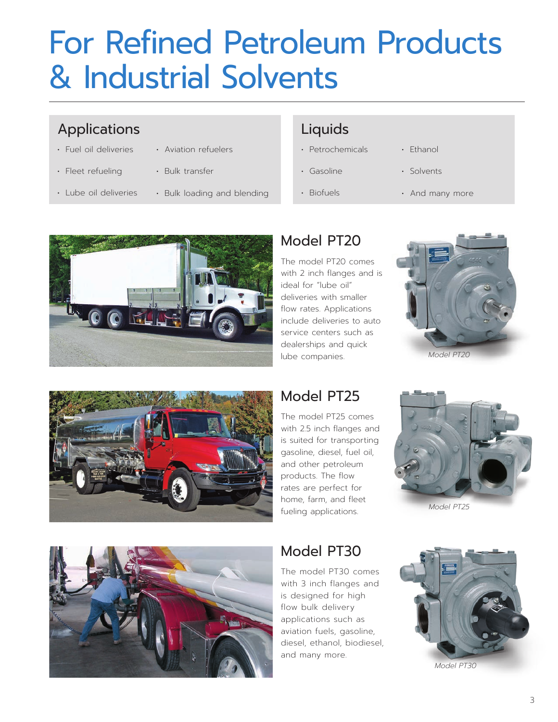## For Refined Petroleum Products & Industrial Solvents

#### Applications

• Fuel oil deliveries

• Lube oil deliveries

- Aviation refuelers
- Fleet refueling
- 
- 
- Bulk transfer
- Bulk loading and blending

#### Liquids

- Petrochemicals
- Gasoline
- Biofuels
- Ethanol
- Solvents
- And many more



### Model PT20

The model PT20 comes with 2 inch flanges and is ideal for "lube oil" deliveries with smaller flow rates. Applications include deliveries to auto service centers such as dealerships and quick lube companies.







### Model PT25

The model PT25 comes with 2.5 inch flanges and is suited for transporting gasoline, diesel, fuel oil, and other petroleum products. The flow rates are perfect for home, farm, and fleet fueling applications.



*Model PT25*



### Model PT30

The model PT30 comes with 3 inch flanges and is designed for high flow bulk delivery applications such as aviation fuels, gasoline, diesel, ethanol, biodiesel, and many more.